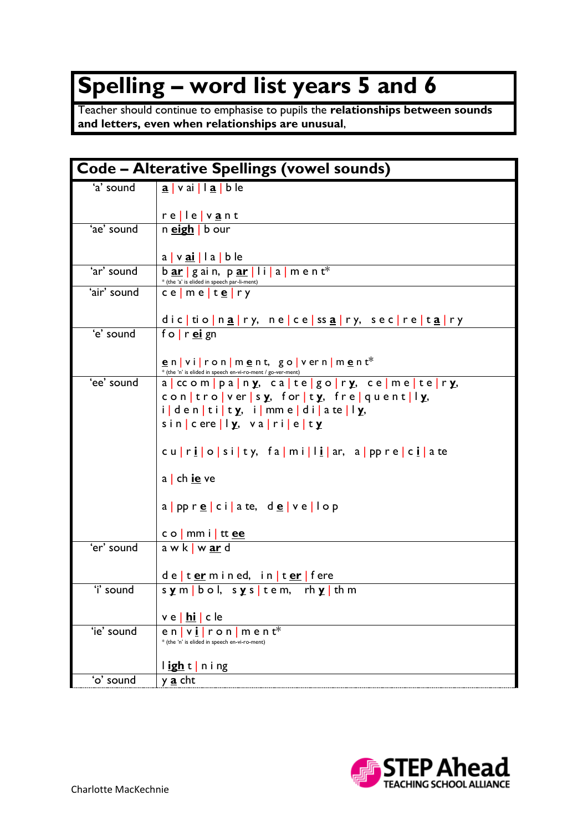## **Spelling – word list years 5 and 6**

Teacher should continue to emphasise to pupils the **relationships between sounds and letters, even when relationships are unusual**,

| <b>Code – Alterative Spellings (vowel sounds)</b> |                                                                                                                              |  |
|---------------------------------------------------|------------------------------------------------------------------------------------------------------------------------------|--|
| 'a' sound                                         | $\underline{a}$   vai   l $\underline{a}$   b le                                                                             |  |
|                                                   | relle vant                                                                                                                   |  |
| 'ae' sound                                        | n <b>eigh</b> b our                                                                                                          |  |
|                                                   | a   v <u>ai</u>   l a   b le                                                                                                 |  |
| 'ar' sound                                        | $b$ ar $g$ ain, $p$ ar $\vert$ $i$ $\vert a \vert$ m ent <sup>*</sup><br>* (the 'a' is elided in speech par-li-ment)         |  |
| 'air' sound                                       | ce   m e   t <u>e</u>   r y                                                                                                  |  |
|                                                   | dictionary, necessary, secretary                                                                                             |  |
| 'e' sound                                         | fo $r$ ei gn                                                                                                                 |  |
|                                                   | environnent, governiment <sup>*</sup>                                                                                        |  |
| 'ee' sound                                        | * (the 'n' is elided in speech en-vi-ro-ment / go-ver-ment)<br>a   ccom   pa   n y, ca   te   go   r y, ce   m e   te   r y, |  |
|                                                   | controversy, forty, freiquently,                                                                                             |  |
|                                                   | identity, immediatelly,                                                                                                      |  |
|                                                   | $sin c $ ere $  y, ya  $ ri $ e $ ty                                                                                         |  |
|                                                   | curiosity, familiar, appreciate                                                                                              |  |
|                                                   | $a \mid ch \underline{ie}$ ve                                                                                                |  |
|                                                   | a ppr <u>e</u> ciate, de ve lop                                                                                              |  |
|                                                   | c o   mm i   tt <u>ee</u>                                                                                                    |  |
| 'er' sound                                        | $awk$ w $ar$ d                                                                                                               |  |
|                                                   | de   termined, in   ter   fere                                                                                               |  |
| 'i' sound                                         | sym bol, sys tem, rhy thm                                                                                                    |  |
|                                                   | ve   <u>hi</u>   c le                                                                                                        |  |
| 'ie' sound                                        | $r \circ n \mid m \in n$ t <sup>*</sup><br>enIvI                                                                             |  |
|                                                   | * (the 'n' is elided in speech en-vi-ro-ment)                                                                                |  |
|                                                   | light ning                                                                                                                   |  |
| 'o' sound                                         | y <u>a</u> cht                                                                                                               |  |

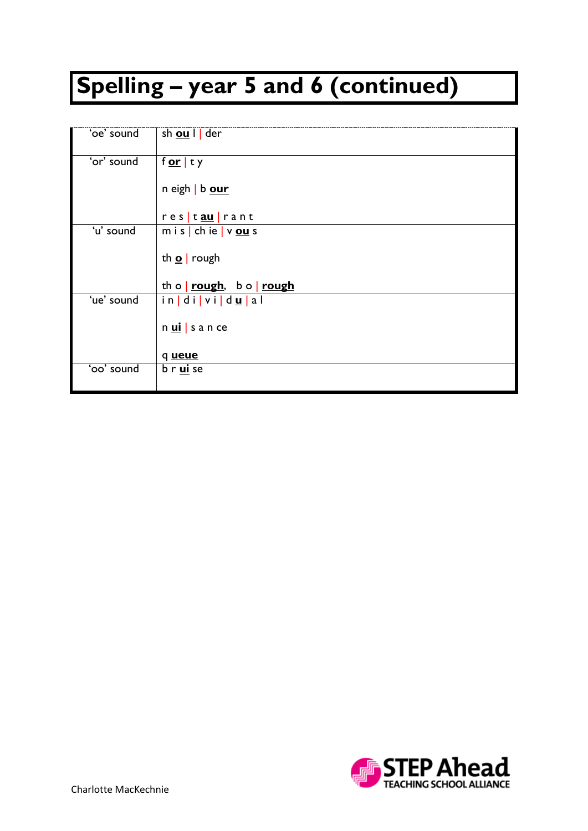## **Spelling – year 5 and 6 (continued)**

| 'oe' sound | sh <u>ou</u> I der        |
|------------|---------------------------|
|            |                           |
| 'or' sound | f <u>or</u>  ty           |
|            |                           |
|            |                           |
|            | n eigh   b our            |
|            |                           |
|            | res tau rant              |
| 'u' sound  | m i s   ch ie   v $ou$ s  |
|            |                           |
|            |                           |
|            | th $\Omega$ rough         |
|            |                           |
|            | th o   rough, b o   rough |
| 'ue' sound | in di vi du al            |
|            |                           |
|            |                           |
|            | nuisance                  |
|            |                           |
|            | q ueue                    |
| 'oo' sound | b r <u>ui</u> se          |
|            |                           |
|            |                           |

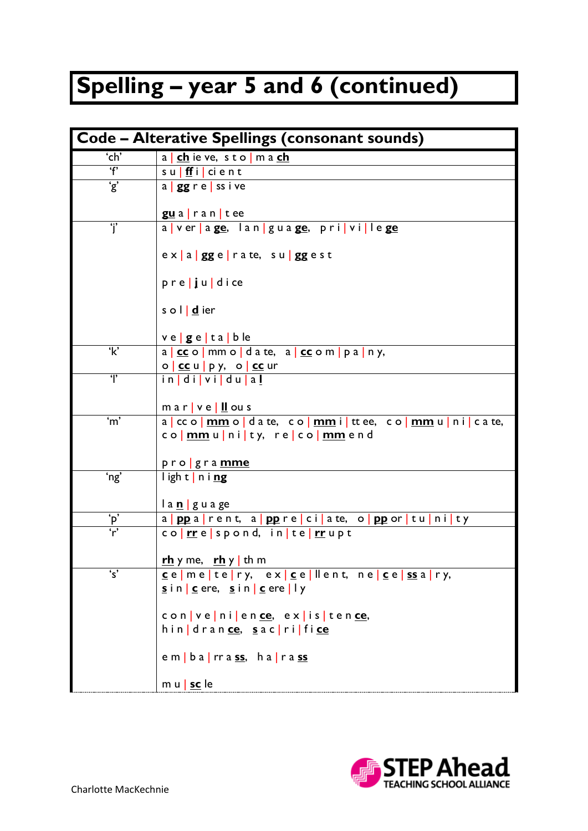## **Spelling – year 5 and 6 (continued)**

| Code - Alterative Spellings (consonant sounds)                |                                                                                             |  |
|---------------------------------------------------------------|---------------------------------------------------------------------------------------------|--|
| 'ch'                                                          | a   ch ie ve, s t o   m a ch                                                                |  |
| $\overline{f}$                                                | $\overline{\mathsf{s}\mathsf{u}\mid \mathsf{f}\mathsf{f}}$ i $\mid$ ci e n t                |  |
| $\overline{\mathbf{g}}$                                       | a   gg r e   ss i ve                                                                        |  |
|                                                               |                                                                                             |  |
|                                                               | guarantee                                                                                   |  |
| $\overline{\mathbf{j}}$                                       | a ver age, lan guage, privillege                                                            |  |
|                                                               | ex   a   gg e   ra te, su   gg es t                                                         |  |
|                                                               | $pr e$ $ju$ dice                                                                            |  |
|                                                               | s o I   d ier                                                                               |  |
|                                                               | $ve ge ta $ b le                                                                            |  |
| $\overline{\mathbf{k}}$                                       | $a \mid \text{cc} \circ \mid$ mm o   d a te, $a \mid \text{cc} \circ \text{m}$   p a   n y, |  |
|                                                               | o   cc u   p y, o   cc ur                                                                   |  |
| $\mathbf{r}$                                                  | in di vi du al                                                                              |  |
|                                                               | $max$   $v e$   $\underline{II}$ ou s                                                       |  |
| 'm'                                                           | a cco <mark>mmo da te, commit</mark> ttee, co <mark>mmu icate,</mark>                       |  |
|                                                               | co <mark> mm</mark> u ni ty,re co <mark> mm</mark> end                                      |  |
|                                                               | pro gramme                                                                                  |  |
| 'ng'                                                          | light ning                                                                                  |  |
|                                                               |                                                                                             |  |
|                                                               | la <u>n</u>   guage                                                                         |  |
| $\frac{^{\prime }\mathsf{p}^{\prime }}{\mathsf{r}^{\prime }}$ | a poparent, a popreciate, o poportunity                                                     |  |
|                                                               | co <mark> rr</mark> e spond, in te  <mark>rr</mark> upt                                     |  |
|                                                               | <u>rh</u> y me, rh y th m                                                                   |  |
| $\overline{\mathsf{s}'}$                                      | <u>c</u> e me te ry, ex  <u>c</u> e llent, ne  <u>c</u> e  <mark>ss</mark> a ry,            |  |
|                                                               | sin   cere, sin   cere   ly                                                                 |  |
|                                                               |                                                                                             |  |
|                                                               | convenien <u>ce</u> , existen <u>ce</u> ,                                                   |  |
|                                                               | hin drance, sac rifice                                                                      |  |
|                                                               | em   ba   rrass, ha   rass                                                                  |  |
|                                                               | m u   sc le                                                                                 |  |